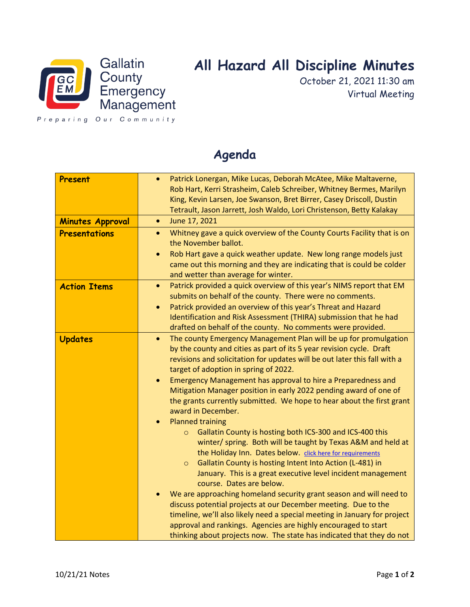

## **All Hazard All Discipline Minutes**

October 21, 2021 11:30 am Virtual Meeting

Preparing Our Community

| Present<br><b>Minutes Approval</b> | Patrick Lonergan, Mike Lucas, Deborah McAtee, Mike Maltaverne,<br>$\bullet$<br>Rob Hart, Kerri Strasheim, Caleb Schreiber, Whitney Bermes, Marilyn<br>King, Kevin Larsen, Joe Swanson, Bret Birrer, Casey Driscoll, Dustin<br>Tetrault, Jason Jarrett, Josh Waldo, Lori Christenson, Betty Kalakay<br>June 17, 2021<br>$\bullet$                                                                                                                                                                                                                                                                                                                                                                                                                                                                                                                                                                                |
|------------------------------------|-----------------------------------------------------------------------------------------------------------------------------------------------------------------------------------------------------------------------------------------------------------------------------------------------------------------------------------------------------------------------------------------------------------------------------------------------------------------------------------------------------------------------------------------------------------------------------------------------------------------------------------------------------------------------------------------------------------------------------------------------------------------------------------------------------------------------------------------------------------------------------------------------------------------|
| <b>Presentations</b>               | Whitney gave a quick overview of the County Courts Facility that is on<br>$\bullet$<br>the November ballot.<br>Rob Hart gave a quick weather update. New long range models just<br>$\bullet$<br>came out this morning and they are indicating that is could be colder<br>and wetter than average for winter.                                                                                                                                                                                                                                                                                                                                                                                                                                                                                                                                                                                                    |
| <b>Action Items</b>                | Patrick provided a quick overview of this year's NIMS report that EM<br>$\bullet$<br>submits on behalf of the county. There were no comments.<br>Patrick provided an overview of this year's Threat and Hazard<br>$\bullet$<br>Identification and Risk Assessment (THIRA) submission that he had<br>drafted on behalf of the county. No comments were provided.                                                                                                                                                                                                                                                                                                                                                                                                                                                                                                                                                 |
| <b>Updates</b>                     | The county Emergency Management Plan will be up for promulgation<br>$\bullet$<br>by the county and cities as part of its 5 year revision cycle. Draft<br>revisions and solicitation for updates will be out later this fall with a<br>target of adoption in spring of 2022.<br>Emergency Management has approval to hire a Preparedness and<br>$\bullet$<br>Mitigation Manager position in early 2022 pending award of one of<br>the grants currently submitted. We hope to hear about the first grant<br>award in December.<br><b>Planned training</b><br>$\bullet$<br>Gallatin County is hosting both ICS-300 and ICS-400 this<br>$\circ$<br>winter/ spring. Both will be taught by Texas A&M and held at<br>the Holiday Inn. Dates below. click here for requirements<br>Gallatin County is hosting Intent Into Action (L-481) in<br>$\circ$<br>January. This is a great executive level incident management |
|                                    | course. Dates are below.<br>We are approaching homeland security grant season and will need to<br>discuss potential projects at our December meeting. Due to the<br>timeline, we'll also likely need a special meeting in January for project<br>approval and rankings. Agencies are highly encouraged to start<br>thinking about projects now. The state has indicated that they do not                                                                                                                                                                                                                                                                                                                                                                                                                                                                                                                        |

## **Agenda**